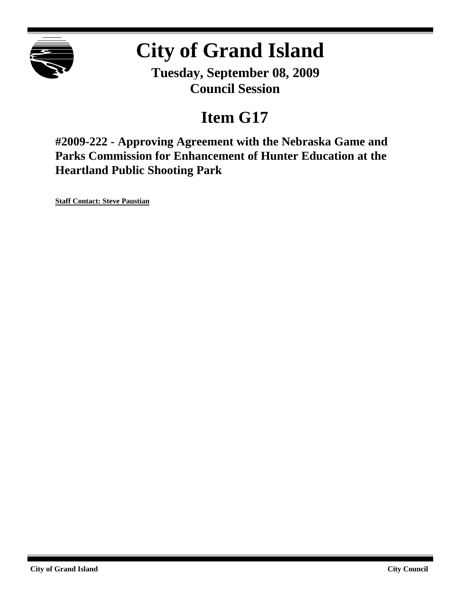

# **City of Grand Island**

**Tuesday, September 08, 2009 Council Session**

## **Item G17**

**#2009-222 - Approving Agreement with the Nebraska Game and Parks Commission for Enhancement of Hunter Education at the Heartland Public Shooting Park**

**Staff Contact: Steve Paustian**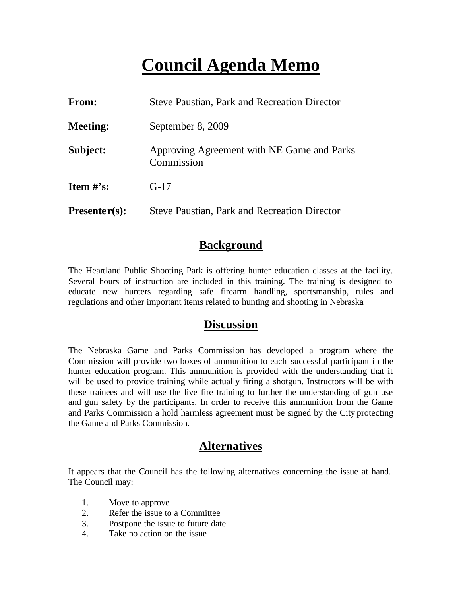### **Council Agenda Memo**

| From:           | <b>Steve Paustian, Park and Recreation Director</b>      |
|-----------------|----------------------------------------------------------|
| <b>Meeting:</b> | September 8, 2009                                        |
| Subject:        | Approving Agreement with NE Game and Parks<br>Commission |
| Item $\#$ 's:   | $G-17$                                                   |
| $Presenter(s):$ | <b>Steve Paustian, Park and Recreation Director</b>      |

#### **Background**

The Heartland Public Shooting Park is offering hunter education classes at the facility. Several hours of instruction are included in this training. The training is designed to educate new hunters regarding safe firearm handling, sportsmanship, rules and regulations and other important items related to hunting and shooting in Nebraska

#### **Discussion**

The Nebraska Game and Parks Commission has developed a program where the Commission will provide two boxes of ammunition to each successful participant in the hunter education program. This ammunition is provided with the understanding that it will be used to provide training while actually firing a shotgun. Instructors will be with these trainees and will use the live fire training to further the understanding of gun use and gun safety by the participants. In order to receive this ammunition from the Game and Parks Commission a hold harmless agreement must be signed by the City protecting the Game and Parks Commission.

#### **Alternatives**

It appears that the Council has the following alternatives concerning the issue at hand. The Council may:

- 1. Move to approve
- 2. Refer the issue to a Committee
- 3. Postpone the issue to future date
- 4. Take no action on the issue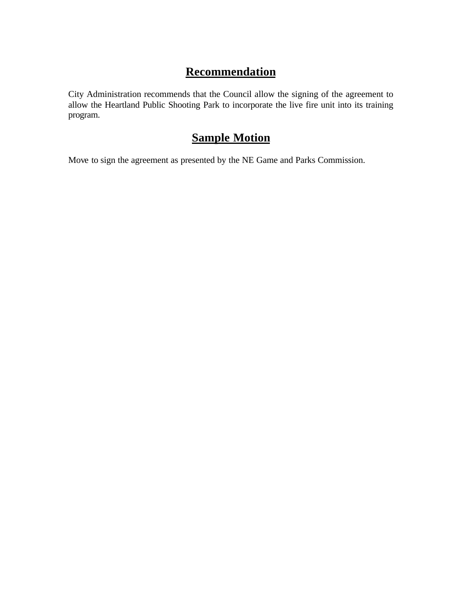### **Recommendation**

City Administration recommends that the Council allow the signing of the agreement to allow the Heartland Public Shooting Park to incorporate the live fire unit into its training program.

#### **Sample Motion**

Move to sign the agreement as presented by the NE Game and Parks Commission.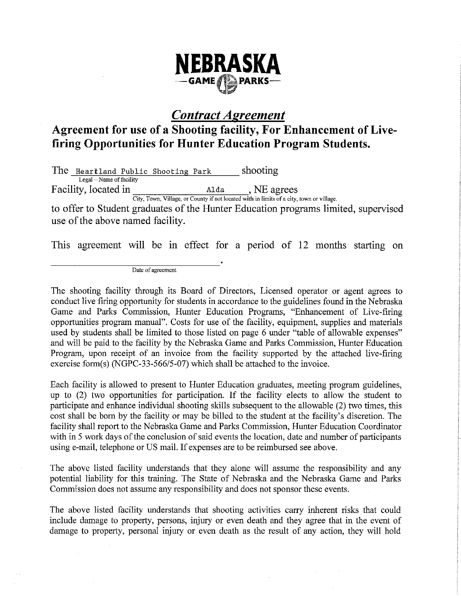

#### **Contract Agreement**

#### Agreement for use of a Shooting facility, For Enhancement of Livefiring Opportunities for Hunter Education Program Students.

shooting The Heartland Public Shooting Park Legal - Name of facility Facility. located in Alda . NE agrees

City, Town, Village, or County if not located with in limits of a city, town or village.

to offer to Student graduates of the Hunter Education programs limited, supervised use of the above named facility.

This agreement will be in effect for a period of 12 months starting on

Date of agreement

The shooting facility through its Board of Directors, Licensed operator or agent agrees to conduct live firing opportunity for students in accordance to the guidelines found in the Nebraska Game and Parks Commission, Hunter Education Programs, "Enhancement of Live-firing opportunities program manual". Costs for use of the facility, equipment, supplies and materials used by students shall be limited to those listed on page 6 under "table of allowable expenses" and will be paid to the facility by the Nebraska Game and Parks Commission, Hunter Education Program, upon receipt of an invoice from the facility supported by the attached live-firing exercise form(s) (NGPC-33-566/5-07) which shall be attached to the invoice.

Each facility is allowed to present to Hunter Education graduates, meeting program guidelines, up to  $(2)$  two opportunities for participation. If the facility elects to allow the student to participate and enhance individual shooting skills subsequent to the allowable (2) two times, this cost shall be born by the facility or may be billed to the student at the facility's discretion. The facility shall report to the Nebraska Game and Parks Commission, Hunter Education Coordinator with in 5 work days of the conclusion of said events the location, date and number of participants using e-mail, telephone or US mail. If expenses are to be reimbursed see above.

The above listed facility understands that they alone will assume the responsibility and any potential liability for this training. The State of Nebraska and the Nebraska Game and Parks Commission does not assume any responsibility and does not sponsor these events.

The above listed facility understands that shooting activities carry inherent risks that could include damage to property, persons, injury or even death and they agree that in the event of damage to property, personal injury or even death as the result of any action, they will hold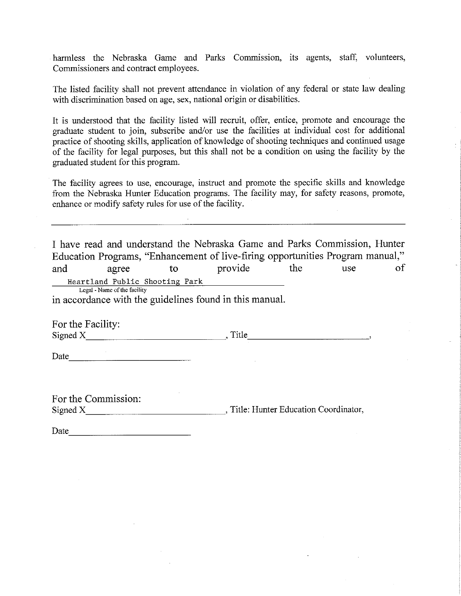harmless the Nebraska Game and Parks Commission, its agents, staff, volunteers, Commissioners and contract employees.

The listed facility shall not prevent attendance in violation of any federal or state law dealing with discrimination based on age, sex, national origin or disabilities.

It is understood that the facility listed will recruit, offer, entice, promote and encourage the graduate student to join, subscribe and/or use the facilities at individual cost for additional practice of shooting skills, application of knowledge of shooting techniques and continued usage of the facility for legal purposes, but this shall not be a condition on using the facility by the graduated student for this program.

The facility agrees to use, encourage, instruct and promote the specific skills and knowledge from the Nebraska Hunter Education programs. The facility may, for safety reasons, promote, enhance or modify safety rules for use of the facility.

I have read and understand the Nebraska Game and Parks Commission, Hunter Education Programs, "Enhancement of live-firing opportunities Program manual," the provide use and agree  $\mathbf{t}$ of Heartland Public Shooting Park Legal - Name of the facility

in accordance with the guidelines found in this manual.

For the Facility: 

Date and the second state of the second state and state and state and state and state and state and state and state and state and state and state and state and state and state and state and state and state and state and st

For the Commission: Signed X Title: Hunter Education Coordinator,

Date and the contract of the contract of the contract of the contract of the contract of the contract of the contract of the contract of the contract of the contract of the contract of the contract of the contract of the c